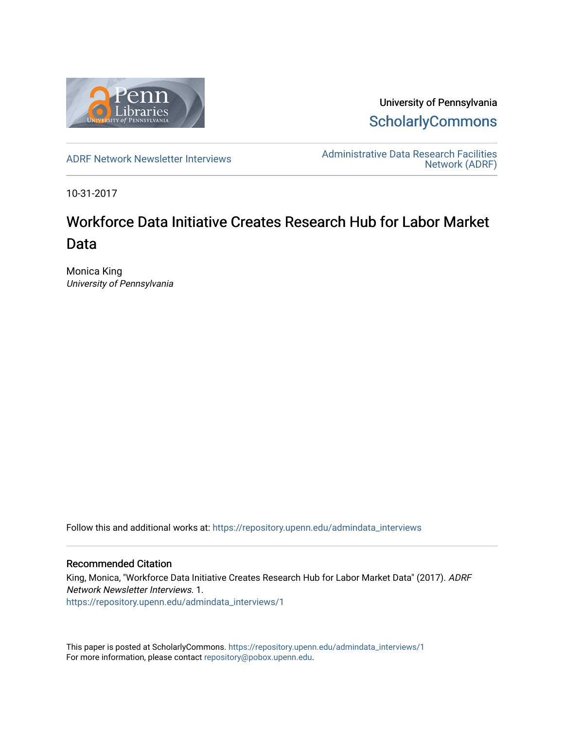

University of Pennsylvania **ScholarlyCommons** 

[ADRF Network Newsletter Interviews](https://repository.upenn.edu/admindata_interviews) [Administrative Data Research Facilities](https://repository.upenn.edu/admindata)  [Network \(ADRF\)](https://repository.upenn.edu/admindata) 

10-31-2017

# Workforce Data Initiative Creates Research Hub for Labor Market Data

Monica King University of Pennsylvania

Follow this and additional works at: [https://repository.upenn.edu/admindata\\_interviews](https://repository.upenn.edu/admindata_interviews?utm_source=repository.upenn.edu%2Fadmindata_interviews%2F1&utm_medium=PDF&utm_campaign=PDFCoverPages) 

#### Recommended Citation

King, Monica, "Workforce Data Initiative Creates Research Hub for Labor Market Data" (2017). ADRF Network Newsletter Interviews. 1. [https://repository.upenn.edu/admindata\\_interviews/1](https://repository.upenn.edu/admindata_interviews/1?utm_source=repository.upenn.edu%2Fadmindata_interviews%2F1&utm_medium=PDF&utm_campaign=PDFCoverPages) 

This paper is posted at ScholarlyCommons. [https://repository.upenn.edu/admindata\\_interviews/1](https://repository.upenn.edu/admindata_interviews/1) For more information, please contact [repository@pobox.upenn.edu.](mailto:repository@pobox.upenn.edu)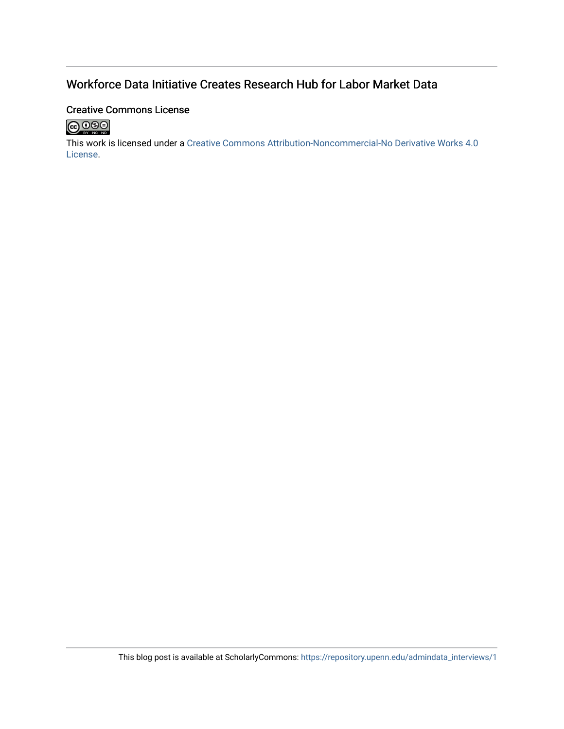# Workforce Data Initiative Creates Research Hub for Labor Market Data

#### Creative Commons License



This work is licensed under a [Creative Commons Attribution-Noncommercial-No Derivative Works 4.0](http://creativecommons.org/licenses/by-nc-nd/4.0/) [License](http://creativecommons.org/licenses/by-nc-nd/4.0/).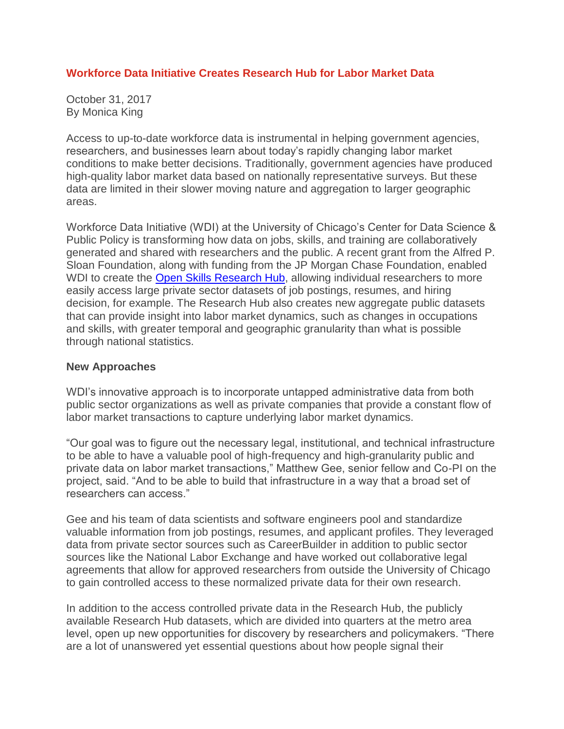## **Workforce Data Initiative Creates Research Hub for Labor Market Data**

October 31, 2017 By Monica King

Access to up-to-date workforce data is instrumental in helping government agencies, researchers, and businesses learn about today's rapidly changing labor market conditions to make better decisions. Traditionally, government agencies have produced high-quality labor market data based on nationally representative surveys. But these data are limited in their slower moving nature and aggregation to larger geographic areas.

Workforce Data Initiative (WDI) at the University of Chicago's Center for Data Science & Public Policy is transforming how data on jobs, skills, and training are collaboratively generated and shared with researchers and the public. A recent grant from the Alfred P. Sloan Foundation, along with funding from the JP Morgan Chase Foundation, enabled WDI to create the **Open Skills [Research](http://dataatwork.org/data/research/) Hub**, allowing individual researchers to more easily access large private sector datasets of job postings, resumes, and hiring decision, for example. The Research Hub also creates new aggregate public datasets that can provide insight into labor market dynamics, such as changes in occupations and skills, with greater temporal and geographic granularity than what is possible through national statistics.

#### **New Approaches**

WDI's innovative approach is to incorporate untapped administrative data from both public sector organizations as well as private companies that provide a constant flow of labor market transactions to capture underlying labor market dynamics.

"Our goal was to figure out the necessary legal, institutional, and technical infrastructure to be able to have a valuable pool of high-frequency and high-granularity public and private data on labor market transactions," Matthew Gee, senior fellow and Co-PI on the project, said. "And to be able to build that infrastructure in a way that a broad set of researchers can access."

Gee and his team of data scientists and software engineers pool and standardize valuable information from job postings, resumes, and applicant profiles. They leveraged data from private sector sources such as CareerBuilder in addition to public sector sources like the National Labor Exchange and have worked out collaborative legal agreements that allow for approved researchers from outside the University of Chicago to gain controlled access to these normalized private data for their own research.

In addition to the access controlled private data in the Research Hub, the publicly available Research Hub datasets, which are divided into quarters at the metro area level, open up new opportunities for discovery by researchers and policymakers. "There are a lot of unanswered yet essential questions about how people signal their